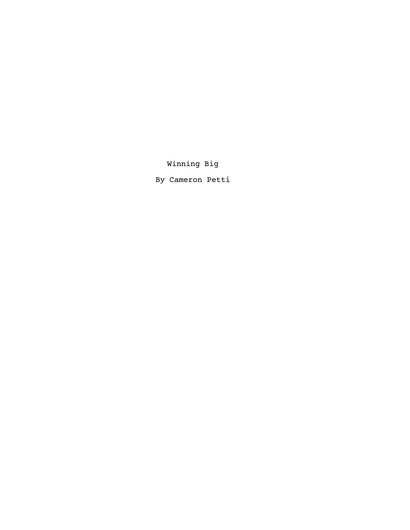Winning Big

By Cameron Petti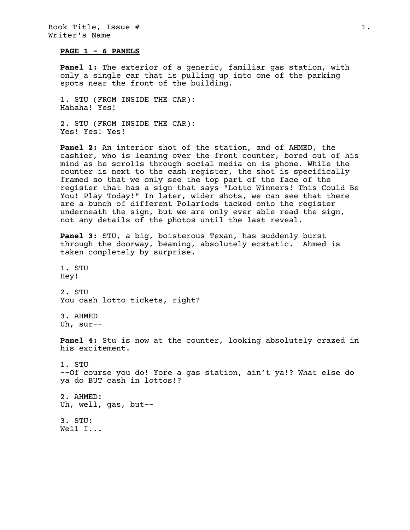## **PAGE 1 - 6 PANELS**

**Panel 1:** The exterior of a generic, familiar gas station, with only a single car that is pulling up into one of the parking spots near the front of the building.

1. STU (FROM INSIDE THE CAR): Hahaha! Yes!

2. STU (FROM INSIDE THE CAR): Yes! Yes! Yes!

**Panel 2:** An interior shot of the station, and of AHMED, the cashier, who is leaning over the front counter, bored out of his mind as he scrolls through social media on is phone. While the counter is next to the cash register, the shot is specifically framed so that we only see the top part of the face of the register that has a sign that says "Lotto Winners! This Could Be You! Play Today!" In later, wider shots, we can see that there are a bunch of different Polariods tacked onto the register underneath the sign, but we are only ever able read the sign, not any details of the photos until the last reveal.

**Panel 3:** STU, a big, boisterous Texan, has suddenly burst through the doorway, beaming, absolutely ecstatic. Ahmed is taken completely by surprise.

1. STU Hey!

2. STU You cash lotto tickets, right?

3. AHMED Uh, sur--

**Panel 4:** Stu is now at the counter, looking absolutely crazed in his excitement.

1. STU --Of course you do! Yore a gas station, ain't ya!? What else do ya do BUT cash in lottos!?

2. AHMED: Uh, well, gas, but--

3. STU: Well I...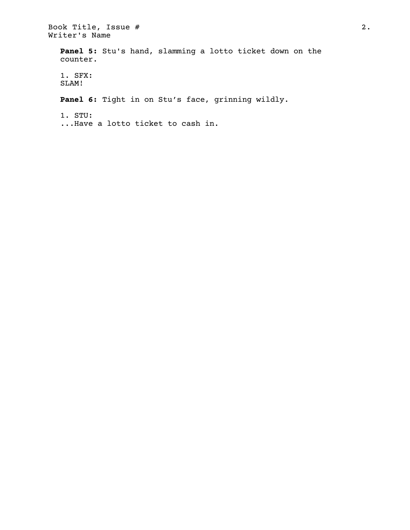Book Title, Issue # 2. Writer's Name **Panel 5:** Stu's hand, slamming a lotto ticket down on the counter. 1. SFX: SLAM! **Panel 6:** Tight in on Stu's face, grinning wildly. 1. STU: ...Have a lotto ticket to cash in.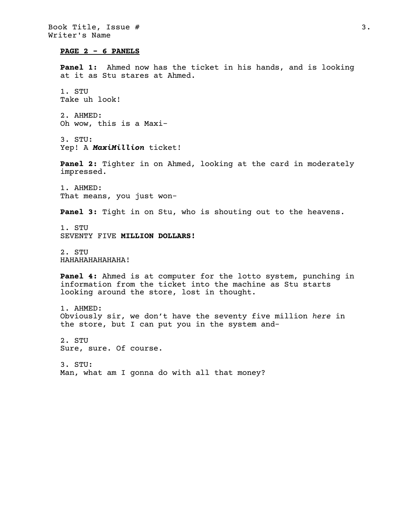## **PAGE 2 - 6 PANELS**

**Panel 1:** Ahmed now has the ticket in his hands, and is looking at it as Stu stares at Ahmed.

1. STU Take uh look!

2. AHMED: Oh wow, this is a Maxi-

3. STU: Yep! A *MaxiMillion* ticket!

**Panel 2:** Tighter in on Ahmed, looking at the card in moderately impressed.

1. AHMED: That means, you just won-

**Panel 3:** Tight in on Stu, who is shouting out to the heavens.

1. STU SEVENTY FIVE **MILLION DOLLARS!**

2. STU HAHAHAHAHAHAHA!

**Panel 4:** Ahmed is at computer for the lotto system, punching in information from the ticket into the machine as Stu starts looking around the store, lost in thought.

1. AHMED: Obviously sir, we don't have the seventy five million *here* in the store, but I can put you in the system and-

2. STU Sure, sure. Of course.

3. STU: Man, what am I gonna do with all that money?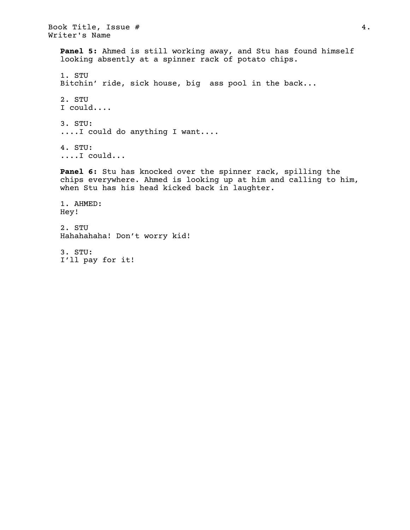Book Title, Issue #  $4.$ Writer's Name **Panel 5:** Ahmed is still working away, and Stu has found himself looking absently at a spinner rack of potato chips. 1. STU Bitchin' ride, sick house, big ass pool in the back... 2. STU I could.... 3. STU: ....I could do anything I want.... 4. STU: ....I could... **Panel 6:** Stu has knocked over the spinner rack, spilling the chips everywhere. Ahmed is looking up at him and calling to him, when Stu has his head kicked back in laughter. 1. AHMED: Hey! 2. STU Hahahahaha! Don't worry kid!

3. STU: I'll pay for it!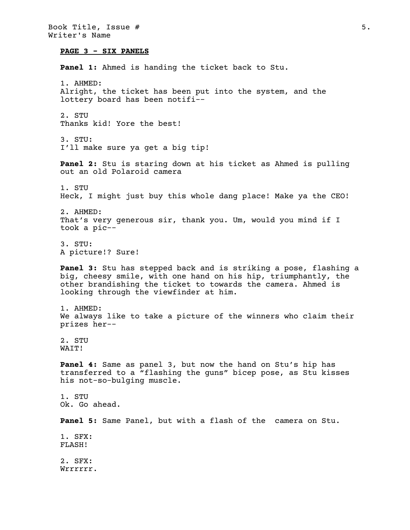Book Title, Issue # 5. Writer's Name **PAGE 3 - SIX PANELS Panel 1:** Ahmed is handing the ticket back to Stu. 1. AHMED: Alright, the ticket has been put into the system, and the lottery board has been notifi-- 2. STU Thanks kid! Yore the best! 3. STU: I'll make sure ya get a big tip! **Panel 2:** Stu is staring down at his ticket as Ahmed is pulling out an old Polaroid camera 1. STU Heck, I might just buy this whole dang place! Make ya the CEO! 2. AHMED: That's very generous sir, thank you. Um, would you mind if I took a pic-- 3. STU: A picture!? Sure! **Panel 3:** Stu has stepped back and is striking a pose, flashing a big, cheesy smile, with one hand on his hip, triumphantly, the other brandishing the ticket to towards the camera. Ahmed is looking through the viewfinder at him. 1. AHMED: We always like to take a picture of the winners who claim their prizes her-- 2. STU WAIT! **Panel 4:** Same as panel 3, but now the hand on Stu's hip has transferred to a "flashing the guns" bicep pose, as Stu kisses his not-so-bulging muscle. 1. STU Ok. Go ahead. **Panel 5:** Same Panel, but with a flash of the camera on Stu. 1. SFX: FLASH! 2. SFX: Wrrrrrr.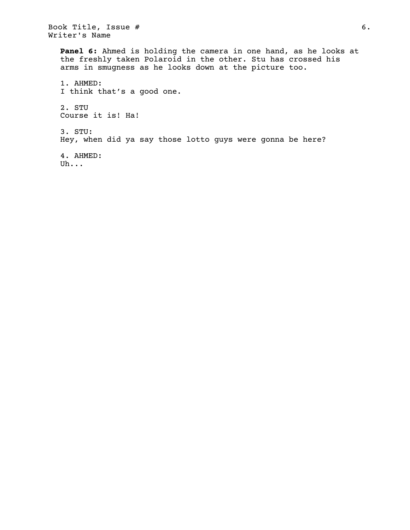Book Title, Issue # 6. Writer's Name

**Panel 6:** Ahmed is holding the camera in one hand, as he looks at the freshly taken Polaroid in the other. Stu has crossed his arms in smugness as he looks down at the picture too. 1. AHMED: I think that's a good one. 2. STU Course it is! Ha!

3. STU: Hey, when did ya say those lotto guys were gonna be here?

4. AHMED: Uh...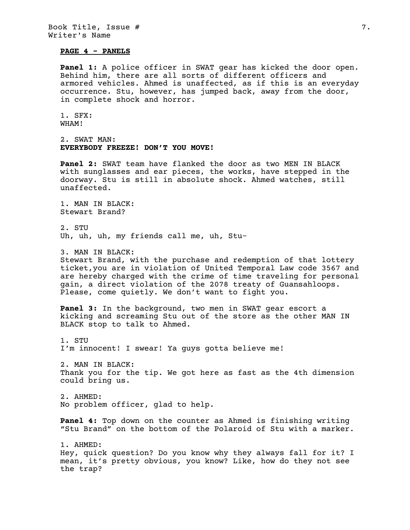## **PAGE 4 - PANELS**

**Panel 1:** A police officer in SWAT gear has kicked the door open. Behind him, there are all sorts of different officers and armored vehicles. Ahmed is unaffected, as if this is an everyday occurrence. Stu, however, has jumped back, away from the door, in complete shock and horror.

```
1. SFX:
WHAM!
```
2. SWAT MAN: **EVERYBODY FREEZE! DON'T YOU MOVE!**

**Panel 2:** SWAT team have flanked the door as two MEN IN BLACK with sunglasses and ear pieces, the works, have stepped in the doorway. Stu is still in absolute shock. Ahmed watches, still unaffected.

1. MAN IN BLACK: Stewart Brand?

2. STU Uh, uh, uh, my friends call me, uh, Stu-

3. MAN IN BLACK: Stewart Brand, with the purchase and redemption of that lottery ticket,you are in violation of United Temporal Law code 3567 and are hereby charged with the crime of time traveling for personal gain, a direct violation of the 2078 treaty of Guansahloops. Please, come quietly. We don't want to fight you.

**Panel 3:** In the background, two men in SWAT gear escort a kicking and screaming Stu out of the store as the other MAN IN BLACK stop to talk to Ahmed.

1. STU I'm innocent! I swear! Ya guys gotta believe me!

2. MAN IN BLACK: Thank you for the tip. We got here as fast as the 4th dimension could bring us.

2. AHMED: No problem officer, glad to help.

**Panel 4:** Top down on the counter as Ahmed is finishing writing "Stu Brand" on the bottom of the Polaroid of Stu with a marker.

1. AHMED: Hey, quick question? Do you know why they always fall for it? I mean, it's pretty obvious, you know? Like, how do they not see the trap?